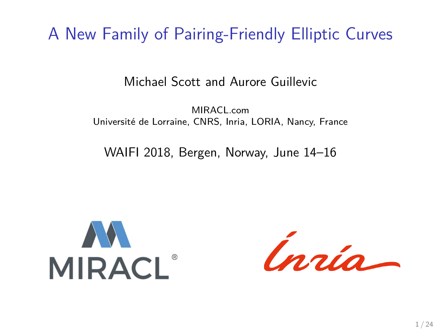A New Family of Pairing-Friendly Elliptic Curves

Michael Scott and Aurore Guillevic

MIRACL<sub>com</sub> Université de Lorraine, CNRS, Inria, LORIA, Nancy, France

WAIFI 2018, Bergen, Norway, June 14–16

**AN**<br>MIRACL®

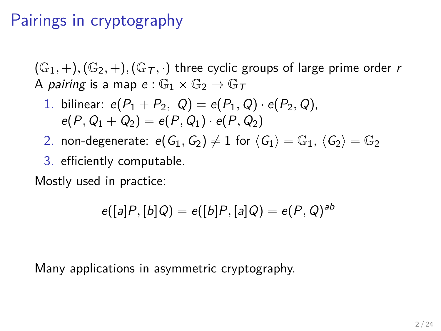## Pairings in cryptography

 $(\mathbb{G}_1, +), (\mathbb{G}_2, +), (\mathbb{G}_T, \cdot)$  three cyclic groups of large prime order r A pairing is a map  $e : \mathbb{G}_1 \times \mathbb{G}_2 \to \mathbb{G}_T$ 

1. bilinear: 
$$
e(P_1 + P_2, Q) = e(P_1, Q) \cdot e(P_2, Q)
$$
,  
\n $e(P, Q_1 + Q_2) = e(P, Q_1) \cdot e(P, Q_2)$ 

- 2. non-degenerate:  $e(G_1, G_2) \neq 1$  for  $\langle G_1 \rangle = \mathbb{G}_1$ ,  $\langle G_2 \rangle = \mathbb{G}_2$
- 3. efficiently computable.

Mostly used in practice:

$$
e([a]P,[b]Q)=e([b]P,[a]Q)=e(P,Q)^{ab}
$$

Many applications in asymmetric cryptography.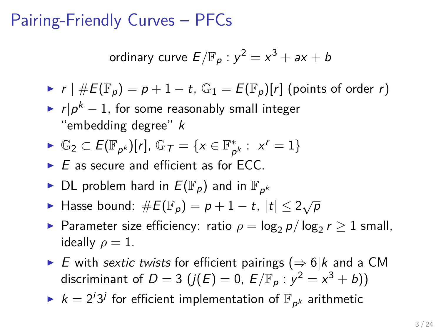### Pairing-Friendly Curves – PFCs

ordinary curve 
$$
E/\mathbb{F}_p : y^2 = x^3 + ax + b
$$

- $\blacktriangleright$  r |  $\#E(\mathbb{F}_p) = p + 1 t$ ,  $\mathbb{G}_1 = E(\mathbb{F}_p)[r]$  (points of order r)
- ►  $r|p^k-1$ , for some reasonably small integer "embedding degree" k
- ►  $\mathbb{G}_2 \subset E(\mathbb{F}_{p^k})[r]$ ,  $\mathbb{G}_\mathcal{T} = \{x \in \mathbb{F}_{p^k}^*\}$  $_{p^{k}}^{*}: x^{r} = 1$
- $\triangleright$  E as secure and efficient as for ECC.
- $\blacktriangleright$  DL problem hard in  $E(\mathbb{F}_p)$  and in  $\mathbb{F}_{p^k}$
- ► Hasse bound:  $\#E(\mathbb{F}_p) = p + 1 t$ ,  $|t| \leq 2\sqrt{p}$
- ► Parameter size efficiency: ratio  $\rho = \log_2 p / \log_2 r \geq 1$  small, ideally  $\rho = 1$ .
- ► E with sextic twists for efficient pairings ( $\Rightarrow$  6|k and a CM discriminant of  $D=3$   $(j(E)=0, E/\mathbb{F}_p : y^2 = x^3 + b))$
- $\blacktriangleright$   $k = 2^{i}3^{j}$  for efficient implementation of  $\mathbb{F}_{p^{k}}$  arithmetic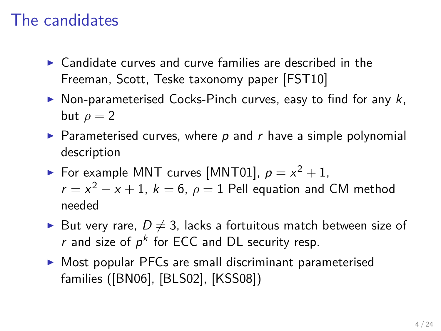## The candidates

- $\triangleright$  Candidate curves and curve families are described in the Freeman, Scott, Teske taxonomy paper [\[FST10\]](#page-19-0)
- $\triangleright$  Non-parameterised Cocks-Pinch curves, easy to find for any k, but  $\rho = 2$
- $\triangleright$  Parameterised curves, where p and r have a simple polynomial description
- For example MNT curves [\[MNT01\]](#page-22-0),  $p = x^2 + 1$ ,  $r = x^2 - x + 1$ ,  $k = 6$ ,  $\rho = 1$  Pell equation and CM method needed
- $\blacktriangleright$  But very rare,  $D \neq 3$ , lacks a fortuitous match between size of r and size of  $p^k$  for ECC and DL security resp.
- $\triangleright$  Most popular PFCs are small discriminant parameterised families ([\[BN06\]](#page-18-0), [\[BLS02\]](#page-18-1), [\[KSS08\]](#page-21-0))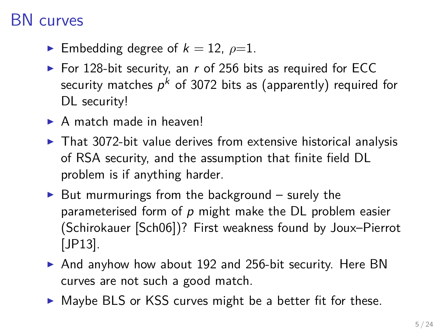#### BN curves

- **E**mbedding degree of  $k = 12$ ,  $\rho=1$ .
- For 128-bit security, an  $r$  of 256 bits as required for ECC security matches  $\rho^k$  of 3072 bits as (apparently) required for DL security!
- $\triangleright$  A match made in heaven!
- $\triangleright$  That 3072-bit value derives from extensive historical analysis of RSA security, and the assumption that finite field DL problem is if anything harder.
- $\triangleright$  But murmurings from the background surely the parameterised form of  $p$  might make the DL problem easier (Schirokauer [\[Sch06\]](#page-23-0))? First weakness found by Joux–Pierrot [\[JP13\]](#page-20-0).
- $\triangleright$  And anyhow how about 192 and 256-bit security. Here BN curves are not such a good match.
- $\triangleright$  Maybe BLS or KSS curves might be a better fit for these.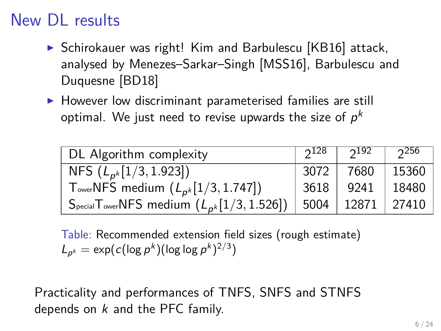# New DL results

- $\triangleright$  Schirokauer was right! Kim and Barbulescu [\[KB16\]](#page-21-1) attack, analysed by Menezes–Sarkar–Singh [\[MSS16\]](#page-22-1), Barbulescu and Duquesne [\[BD18\]](#page-18-2)
- $\blacktriangleright$  However low discriminant parameterised families are still optimal. We just need to revise upwards the size of  $\rho^k$

| DL Algorithm complexity                                                                         | $2^{128}$ | າ <sup>192</sup> | 256          |
|-------------------------------------------------------------------------------------------------|-----------|------------------|--------------|
| NFS $(L_{p^k}[1/3, 1.923])$                                                                     | -3072     | 7680             | 15360        |
| T <sub>ower</sub> NFS medium $(L_{p^k}[1/3, 1.747])$                                            | 3618      |                  | 9241   18480 |
| $S_{\text{pecial}}$ T <sub>ower</sub> NFS medium $(L_{p^k}[1/3, 1.526])$   5004   12871   27410 |           |                  |              |

Table: Recommended extension field sizes (rough estimate)  $L_{p^k} = \exp(c(\log p^k)(\log \log p^k)^{2/3})$ 

Practicality and performances of TNFS, SNFS and STNFS depends on k and the PFC family.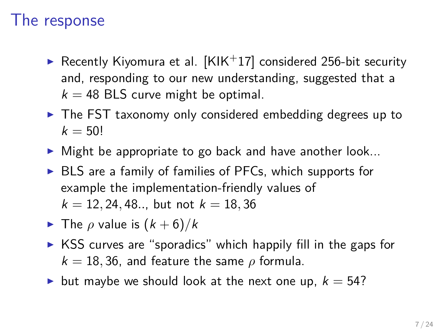#### The response

- Recently Kiyomura et al.  $[KIK+17]$  $[KIK+17]$  considered 256-bit security and, responding to our new understanding, suggested that a  $k = 48$  BLS curve might be optimal.
- $\triangleright$  The FST taxonomy only considered embedding degrees up to  $k = 50!$
- $\triangleright$  Might be appropriate to go back and have another look...
- $\triangleright$  BLS are a family of families of PFCs, which supports for example the implementation-friendly values of  $k = 12, 24, 48, \ldots$  but not  $k = 18, 36$
- **Figure 1** The  $\rho$  value is  $(k+6)/k$
- $\triangleright$  KSS curves are "sporadics" which happily fill in the gaps for  $k = 18, 36$ , and feature the same  $\rho$  formula.
- but maybe we should look at the next one up,  $k = 54$ ?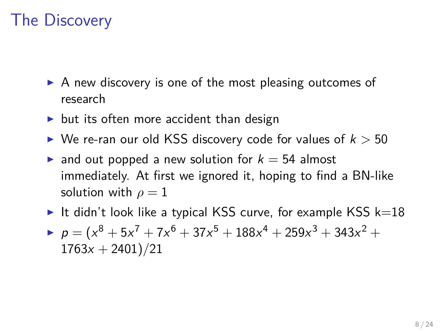## The Discovery

- $\triangleright$  A new discovery is one of the most pleasing outcomes of research
- $\triangleright$  but its often more accident than design
- $\triangleright$  We re-ran our old KSS discovery code for values of  $k > 50$
- ightharpoonup and out popped a new solution for  $k = 54$  almost immediately. At first we ignored it, hoping to find a BN-like solution with  $\rho = 1$
- It didn't look like a typical KSS curve, for example KSS  $k=18$
- $p = (x^8 + 5x^7 + 7x^6 + 37x^5 + 188x^4 + 259x^3 + 343x^2 +$  $1763x + 2401$ /21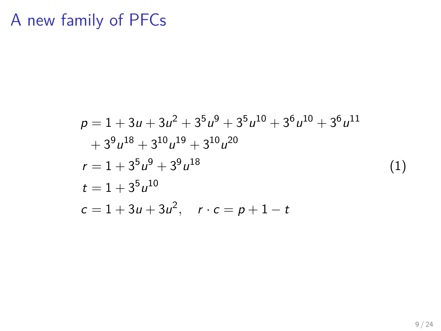# A new family of PFCs

$$
p = 1 + 3u + 3u^{2} + 3^{5}u^{9} + 3^{5}u^{10} + 3^{6}u^{10} + 3^{6}u^{11} + 3^{9}u^{18} + 3^{10}u^{19} + 3^{10}u^{20}
$$
  
\n
$$
r = 1 + 3^{5}u^{9} + 3^{9}u^{18}
$$
  
\n
$$
t = 1 + 3^{5}u^{10}
$$
  
\n
$$
c = 1 + 3u + 3u^{2}, \quad r \cdot c = p + 1 - t
$$
  
\n(1)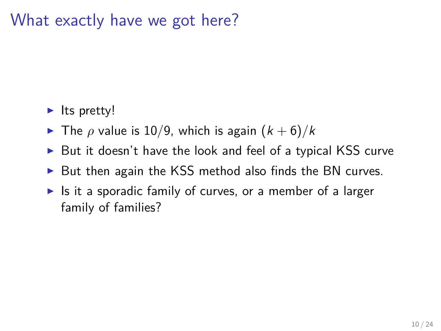#### What exactly have we got here?

- $\blacktriangleright$  Its pretty!
- $\triangleright$  The *ρ* value is 10/9, which is again  $(k+6)/k$
- $\triangleright$  But it doesn't have the look and feel of a typical KSS curve
- $\triangleright$  But then again the KSS method also finds the BN curves.
- $\blacktriangleright$  Is it a sporadic family of curves, or a member of a larger family of families?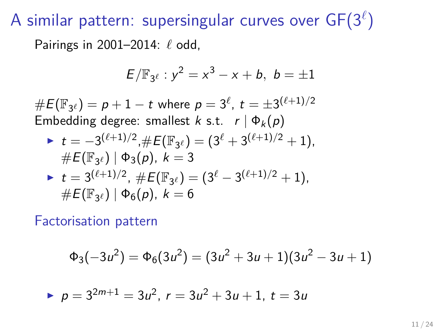${\sf A}$  similar pattern: supersingular curves over  ${\sf GF}(3^\ell)$ 

Pairings in 2001–2014: *`* odd,

$$
E/\mathbb{F}_{3^{\ell}}: y^2 = x^3 - x + b, \ b = \pm 1
$$

 $\#E(\mathbb{F}_{3^\ell}) = p+1-t$  where  $p=3^\ell$ ,  $t=\pm 3^{(\ell+1)/2}$ Embedding degree: smallest k s.t.  $r | \Phi_k(p)$ 

▶ 
$$
t = -3^{(\ell+1)/2}, \#E(\mathbb{F}_{3^{\ell}}) = (3^{\ell} + 3^{(\ell+1)/2} + 1),
$$
  
\n $\#E(\mathbb{F}_{3^{\ell}}) | \Phi_3(p), k = 3$   
\n▶  $t = 3^{(\ell+1)/2}, \#E(\mathbb{F}_{3^{\ell}}) = (3^{\ell} - 3^{(\ell+1)/2} + 1),$   
\n $\#E(\mathbb{F}_{3^{\ell}}) | \Phi_6(p), k = 6$ 

Factorisation pattern

$$
\Phi_3(-3u^2) = \Phi_6(3u^2) = (3u^2 + 3u + 1)(3u^2 - 3u + 1)
$$

$$
p = 3^{2m+1} = 3u^2, r = 3u^2 + 3u + 1, t = 3u
$$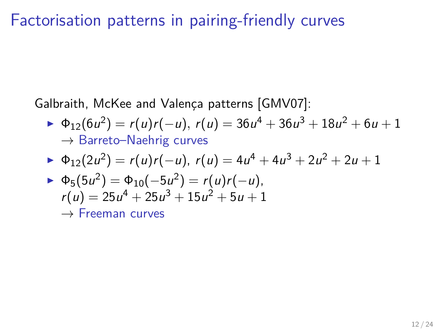#### Factorisation patterns in pairing-friendly curves

Galbraith, McKee and Valença patterns [\[GMV07\]](#page-19-1):

►  $\Phi_{12}(6u^2) = r(u)r(-u), r(u) = 36u^4 + 36u^3 + 18u^2 + 6u + 1$  $\rightarrow$  Barreto–Naehrig curves

$$
\blacktriangleright \ \Phi_{12}(2u^2) = r(u)r(-u), \ r(u) = 4u^4 + 4u^3 + 2u^2 + 2u + 1
$$

$$
\Phi_5(5u^2) = \Phi_{10}(-5u^2) = r(u)r(-u),
$$
  
 
$$
r(u) = 25u^4 + 25u^3 + 15u^2 + 5u + 1
$$

eeman curves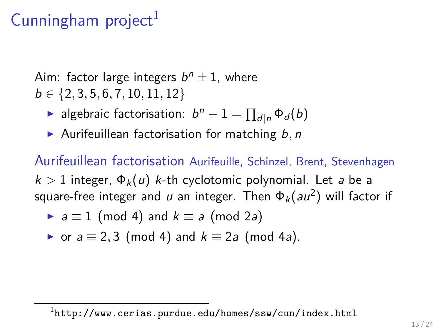# Cunningham project<sup>1</sup>

Aim: factor large integers  $b^n\pm 1$ , where b ∈ {2*,* 3*,* 5*,* 6*,* 7*,* 10*,* 11*,* 12}

► algebraic factorisation:  $b^n - 1 = \prod_{d|n} \Phi_d(b)$ 

▶ Aurifeuillean factorisation for matching b, n

Aurifeuillean factorisation Aurifeuille, Schinzel, Brent, Stevenhagen  $k > 1$  integer,  $\Phi_k(u)$  k-th cyclotomic polynomial. Let a be a square-free integer and  $\mu$  an integer. Then  $\Phi_k (au^2)$  will factor if

$$
\blacktriangleright a \equiv 1 \pmod{4} \text{ and } k \equiv a \pmod{2a}
$$

• or 
$$
a \equiv 2, 3 \pmod{4}
$$
 and  $k \equiv 2a \pmod{4a}$ .

 $^{\rm 1}$ <http://www.cerias.purdue.edu/homes/ssw/cun/index.html>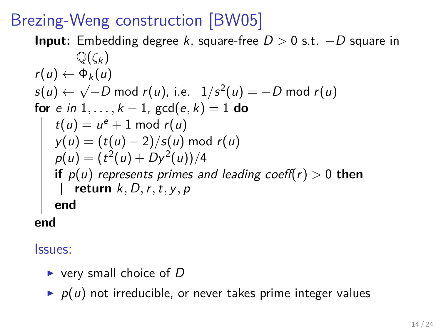# Brezing-Weng construction [\[BW05\]](#page-19-2)

**Input:** Embedding degree k, square-free D *>* 0 s.t. −D square in  $\mathbb{O}(\zeta_k)$  $r(u) \leftarrow \Phi_k(u)$  $\mathsf{s}(u) \leftarrow$ √  $\overline{-D}$  mod *r*(*u*), i.e.  $\;\,1/s^2(u)=-D$  mod *r*(*u*) **for** e in 1, . . . ,  $k - 1$ ,  $gcd(e, k) = 1$  **do**  $t(u) = u^e + 1 \mod r(u)$ y(u) = (t(u) − 2)*/*s(u) mod r(u)  $p(u) = (t^2(u) + Dy^2(u))/4$ **if** p(u) represents primes and leading coeff(r) *>* 0 **then return** k*,* D*,*r*,*t*,* y*,* p **end**

**end**

Issues:

- $\triangleright$  very small choice of D
- $\triangleright$   $p(u)$  not irreducible, or never takes prime integer values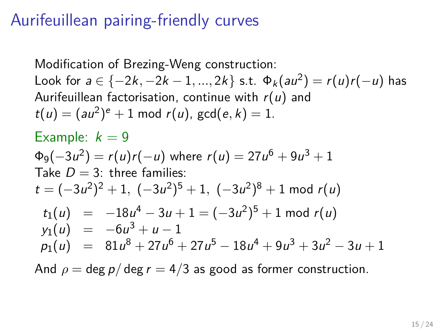## Aurifeuillean pairing-friendly curves

Modification of Brezing-Weng construction: Look for  $a \in \{-2k, -2k-1, ..., 2k\}$  s.t.  $Φ_k(au^2) = r(u)r(-u)$  has Aurifeuillean factorisation, continue with  $r(u)$  and  $t(u) = (au^2)^e + 1 \text{ mod } r(u)$ ,  $gcd(e, k) = 1$ . Example:  $k = 9$  $\mathfrak{\Phi}_{9}(-3u^2)=r(u)r(-u)$  where  $r(u)=27u^6+9u^3+1$ Take  $D = 3$ : three families:  $t = (-3u^2)^2 + 1$ ,  $(-3u^2)^5 + 1$ ,  $(-3u^2)^8 + 1$  mod  $r(u)$  $t_1(u) = -18u^4 - 3u + 1 = (-3u^2)^5 + 1$  mod  $r(u)$  $y_1(u) = -6u^3 + u - 1$  $p_1(u) = 81u^8 + 27u^6 + 27u^5 - 18u^4 + 9u^3 + 3u^2 - 3u + 1$ 

And  $\rho = \text{deg } p / \text{deg } r = 4/3$  as good as former construction.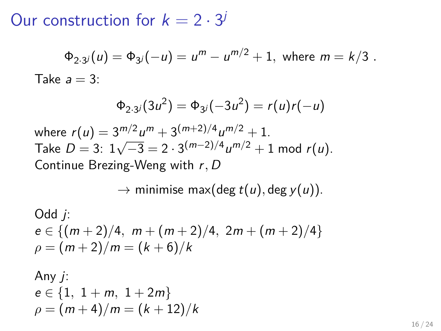Our construction for  $k = 2 \cdot 3^j$ 

$$
\Phi_{2\cdot 3^j}(u) = \Phi_{3^j}(-u) = u^m - u^{m/2} + 1, \text{ where } m = k/3.
$$
  
Take  $a = 3$ :

$$
\Phi_{2\cdot 3^j}(3u^2) = \Phi_{3^j}(-3u^2) = r(u)r(-u)
$$

where  $r(u) = 3^{m/2}u^m + 3^{(m+2)/4}u^{m/2} + 1$ . Take  $D = 3$ :  $1\sqrt{-3} = 2 \cdot 3^{(m-2)/4} u^{m/2} + 1$  mod  $r(u)$ . Continue Brezing-Weng with r*,* D

$$
\rightarrow \text{minimise max}(\text{deg } t(u), \text{deg } y(u)).
$$

Odd *j*:  
\n
$$
e \in \{(m+2)/4, m + (m+2)/4, 2m + (m+2)/4\}
$$
  
\n $\rho = (m+2)/m = (k+6)/k$ 

Any j:  
\n
$$
e \in \{1, 1 + m, 1 + 2m\}
$$
  
\n $\rho = (m + 4)/m = (k + 12)/k$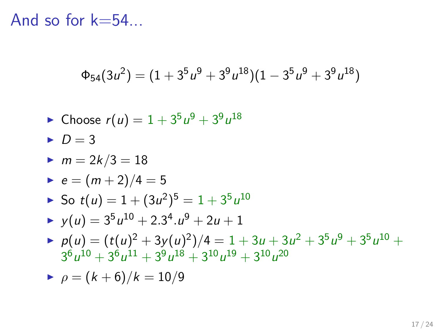And so for k=54...

$$
\Phi_{54}(3u^2) = (1+3^5u^9+3^9u^{18})(1-3^5u^9+3^9u^{18})
$$

$$
\blacktriangleright \text{ Choose } r(u) = 1 + 3^5 u^9 + 3^9 u^{18}
$$

$$
D=3
$$

► 
$$
m = 2k/3 = 18
$$
  
\n►  $e = (m+2)/4 = 5$   
\n► So  $t(u) = 1 + (3u^2)^5 = 1 + 3^5 u^{10}$   
\n►  $y(u) = 3^5 u^{10} + 2 \cdot 3^4 \cdot u^9 + 2u + 1$   
\n►  $p(u) = (t(u)^2 + 3y(u)^2)/4 = 1 + 3u + 3u^2 + 3^5 u^9 + 3^5 u^{10} + 3^6 u^{10} + 3^6 u^{11} + 3^9 u^{18} + 3^{10} u^{19} + 3^{10} u^{20}$ 

$$
\rho = (k+6)/k = 10/9
$$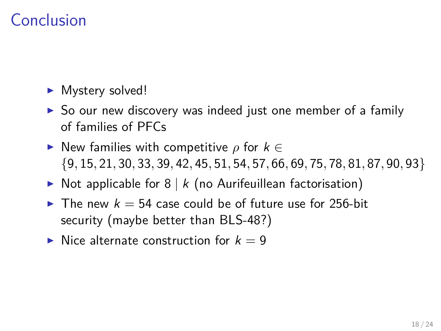## Conclusion

- $\blacktriangleright$  Mystery solved!
- $\triangleright$  So our new discovery was indeed just one member of a family of families of PFCs
- $\triangleright$  New families with competitive *ρ* for  $k \in$ {9*,* 15*,* 21*,* 30*,* 33*,* 39*,* 42*,* 45*,* 51*,* 54*,* 57*,* 66*,* 69*,* 75*,* 78*,* 81*,* 87*,* 90*,* 93}
- $\triangleright$  Not applicable for 8 | k (no Aurifeuillean factorisation)
- In The new  $k = 54$  case could be of future use for 256-bit security (maybe better than BLS-48?)
- $\triangleright$  Nice alternate construction for  $k = 9$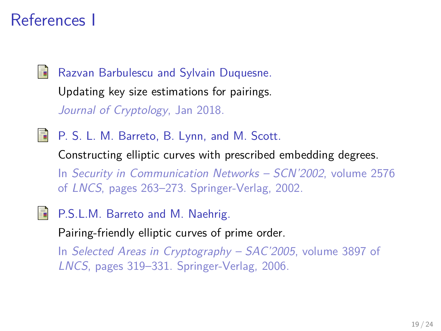### References I

<span id="page-18-2"></span>

Razvan Barbulescu and Sylvain Duquesne.

Updating key size estimations for pairings. Journal of Cryptology, Jan 2018.

<span id="page-18-1"></span>**P. S. L. M. Barreto, B. Lynn, and M. Scott.** 

Constructing elliptic curves with prescribed embedding degrees. In Security in Communication Networks – SCN'2002, volume 2576 of LNCS, pages 263–273. Springer-Verlag, 2002.

<span id="page-18-0"></span>P.S.L.M. Barreto and M. Naehrig.

Pairing-friendly elliptic curves of prime order.

In Selected Areas in Cryptography – SAC'2005, volume 3897 of LNCS, pages 319–331. Springer-Verlag, 2006.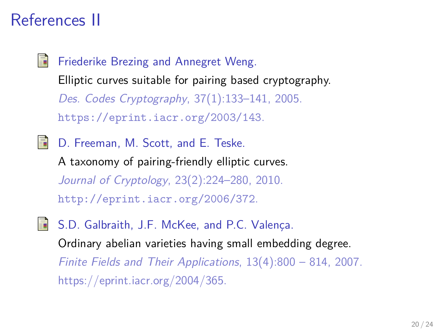### References II

<span id="page-19-2"></span>畐 Friederike Brezing and Annegret Weng. Elliptic curves suitable for pairing based cryptography. Des. Codes Cryptography, 37(1):133–141, 2005. <https://eprint.iacr.org/2003/143>.

<span id="page-19-0"></span>D. Freeman, M. Scott, and E. Teske. E. A taxonomy of pairing-friendly elliptic curves. Journal of Cryptology, 23(2):224–280, 2010. <http://eprint.iacr.org/2006/372>.

<span id="page-19-1"></span>S. S.D. Galbraith, J.F. McKee, and P.C. Valença. Ordinary abelian varieties having small embedding degree. Finite Fields and Their Applications, 13(4):800 – 814, 2007. https://eprint.iacr.org/2004/365.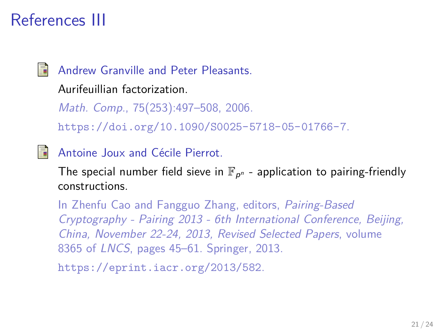## References III



Andrew Granville and Peter Pleasants.

Aurifeuillian factorization.

Math. Comp., 75(253):497–508, 2006. <https://doi.org/10.1090/S0025-5718-05-01766-7>.

<span id="page-20-0"></span>Antoine Joux and Cécile Pierrot.

The special number field sieve in  $\mathbb{F}_{p^n}$  - application to pairing-friendly constructions.

In Zhenfu Cao and Fangguo Zhang, editors, Pairing-Based Cryptography - Pairing 2013 - 6th International Conference, Beijing, China, November 22-24, 2013, Revised Selected Papers, volume 8365 of LNCS, pages 45–61. Springer, 2013.

<https://eprint.iacr.org/2013/582>.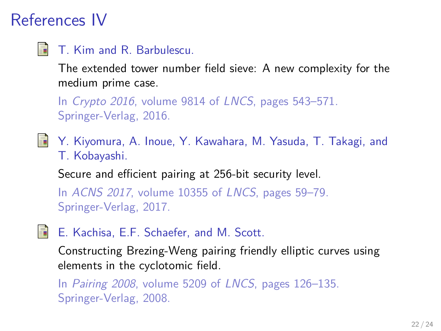# References IV

<span id="page-21-1"></span>畐 T. Kim and R. Barbulescu.

> The extended tower number field sieve: A new complexity for the medium prime case.

In Crypto 2016, volume 9814 of LNCS, pages 543-571. Springer-Verlag, 2016.

<span id="page-21-2"></span>譶 Y. Kiyomura, A. Inoue, Y. Kawahara, M. Yasuda, T. Takagi, and T. Kobayashi.

Secure and efficient pairing at 256-bit security level.

In ACNS 2017, volume 10355 of LNCS, pages 59–79. Springer-Verlag, 2017.

<span id="page-21-0"></span>E. Kachisa, E.F. Schaefer, and M. Scott. 螶

Constructing Brezing-Weng pairing friendly elliptic curves using elements in the cyclotomic field.

In Pairing 2008, volume 5209 of LNCS, pages 126–135. Springer-Verlag, 2008.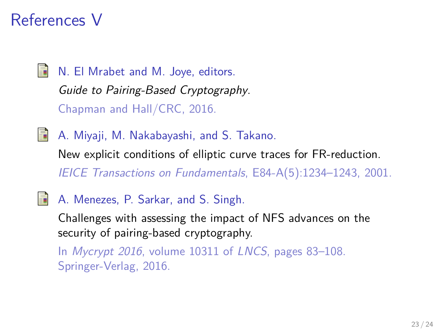### References V

晶 N. El Mrabet and M. Joye, editors. Guide to Pairing-Based Cryptography. Chapman and Hall/CRC, 2016.

<span id="page-22-0"></span>晶 A. Miyaji, M. Nakabayashi, and S. Takano.

New explicit conditions of elliptic curve traces for FR-reduction. IEICE Transactions on Fundamentals, E84-A(5):1234–1243, 2001.

<span id="page-22-1"></span>S. A. Menezes, P. Sarkar, and S. Singh.

Challenges with assessing the impact of NFS advances on the security of pairing-based cryptography.

In Mycrypt 2016, volume 10311 of LNCS, pages 83–108. Springer-Verlag, 2016.